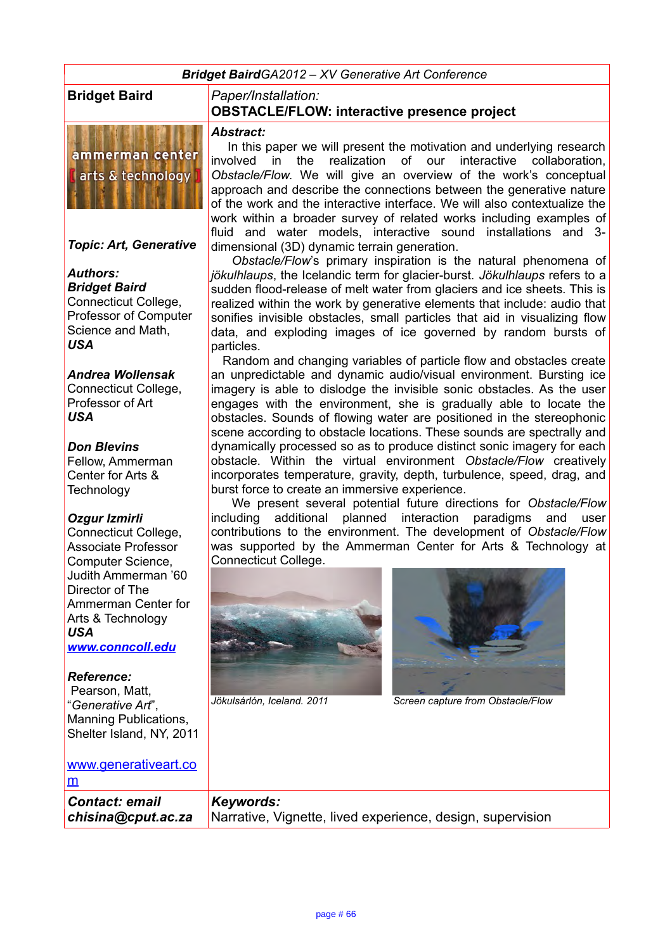*Bridget BairdGA2012 – XV Generative Art Conference* 

ammerman center arts & technology

*Topic: Art, Generative*

#### *Authors: Bridget Baird*

Connecticut College, Professor of Computer Science and Math, *USA*

#### *Andrea Wollensak*

Connecticut College, Professor of Art *USA*

#### *Don Blevins*

Fellow, Ammerman Center for Arts & **Technology** 

## *Ozgur Izmirli*

Connecticut College, Associate Professor Computer Science, Judith Ammerman '60 Director of The Ammerman Center for Arts & Technology *USA*

*[www.conncoll.edu](http://www.conncoll.edu/)*

#### *Reference:*

 Pearson, Matt, "*Generative Art*", Manning Publications, Shelter Island, NY, 2011

#### **Bridget Baird** *Paper/Installation:* **OBSTACLE/FLOW: interactive presence project**

#### *Abstract:*

 In this paper we will present the motivation and underlying research involved in the realization of our interactive collaboration, *Obstacle/Flow*. We will give an overview of the work's conceptual approach and describe the connections between the generative nature of the work and the interactive interface. We will also contextualize the work within a broader survey of related works including examples of fluid and water models, interactive sound installations and 3 dimensional (3D) dynamic terrain generation.

 *Obstacle/Flow*'s primary inspiration is the natural phenomena of *jökulhlaups*, the Icelandic term for glacier-burst. *Jökulhlaups* refers to a sudden flood-release of melt water from glaciers and ice sheets. This is realized within the work by generative elements that include: audio that sonifies invisible obstacles, small particles that aid in visualizing flow data, and exploding images of ice governed by random bursts of particles.

 Random and changing variables of particle flow and obstacles create an unpredictable and dynamic audio/visual environment. Bursting ice imagery is able to dislodge the invisible sonic obstacles. As the user engages with the environment, she is gradually able to locate the obstacles. Sounds of flowing water are positioned in the stereophonic scene according to obstacle locations. These sounds are spectrally and dynamically processed so as to produce distinct sonic imagery for each obstacle. Within the virtual environment *Obstacle/Flow* creatively incorporates temperature, gravity, depth, turbulence, speed, drag, and burst force to create an immersive experience.

 We present several potential future directions for *Obstacle/Flow*  including additional planned interaction paradigms and user contributions to the environment. The development of *Obstacle/Flow*  was supported by the Ammerman Center for Arts & Technology at Connecticut College.





*Jökulsárlón, Iceland. 2011 Screen capture from Obstacle/Flow*

| www.generativeart.co  |                                                            |
|-----------------------|------------------------------------------------------------|
| Ιm                    |                                                            |
| <b>Contact: email</b> | Keywords:                                                  |
| chisina@cput.ac.za    | Narrative, Vignette, lived experience, design, supervision |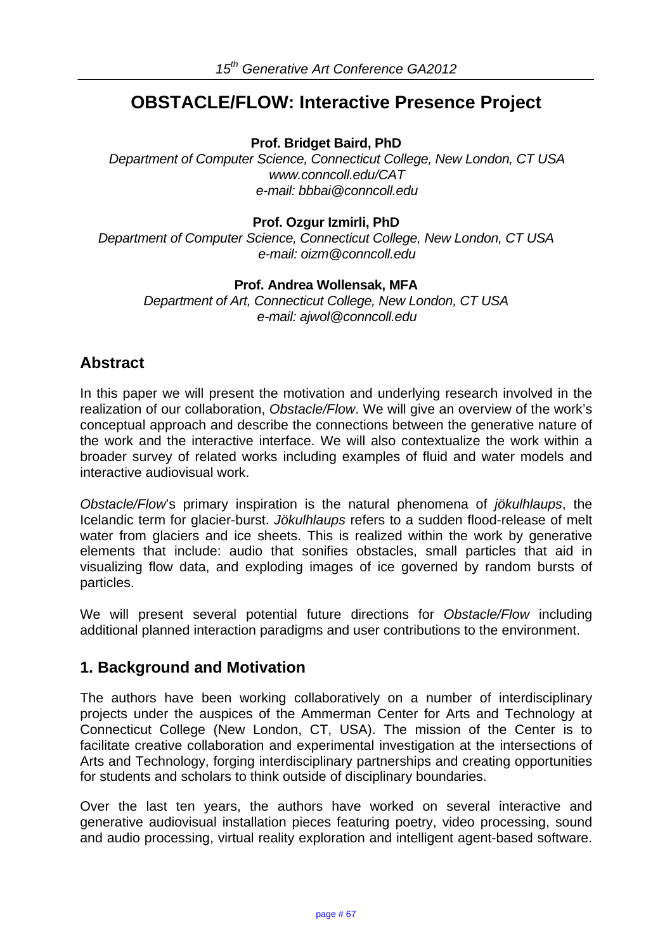# **OBSTACLE/FLOW: Interactive Presence Project**

**Prof. Bridget Baird, PhD** 

*Department of Computer Science, Connecticut College, New London, CT USA www.conncoll.edu/CAT e-mail: bbbai@conncoll.edu* 

**Prof. Ozgur Izmirli, PhD** 

*Department of Computer Science, Connecticut College, New London, CT USA e-mail: oizm@conncoll.edu* 

#### **Prof. Andrea Wollensak, MFA**

*Department of Art, Connecticut College, New London, CT USA e-mail: ajwol@conncoll.edu* 

# **Abstract**

In this paper we will present the motivation and underlying research involved in the realization of our collaboration, *Obstacle/Flow*. We will give an overview of the work's conceptual approach and describe the connections between the generative nature of the work and the interactive interface. We will also contextualize the work within a broader survey of related works including examples of fluid and water models and interactive audiovisual work.

*Obstacle/Flow*'s primary inspiration is the natural phenomena of *jökulhlaups*, the Icelandic term for glacier-burst. *Jökulhlaups* refers to a sudden flood-release of melt water from glaciers and ice sheets. This is realized within the work by generative elements that include: audio that sonifies obstacles, small particles that aid in visualizing flow data, and exploding images of ice governed by random bursts of particles.

We will present several potential future directions for *Obstacle/Flow* including additional planned interaction paradigms and user contributions to the environment.

# **1. Background and Motivation**

The authors have been working collaboratively on a number of interdisciplinary projects under the auspices of the Ammerman Center for Arts and Technology at Connecticut College (New London, CT, USA). The mission of the Center is to facilitate creative collaboration and experimental investigation at the intersections of Arts and Technology, forging interdisciplinary partnerships and creating opportunities for students and scholars to think outside of disciplinary boundaries.

Over the last ten years, the authors have worked on several interactive and generative audiovisual installation pieces featuring poetry, video processing, sound and audio processing, virtual reality exploration and intelligent agent-based software.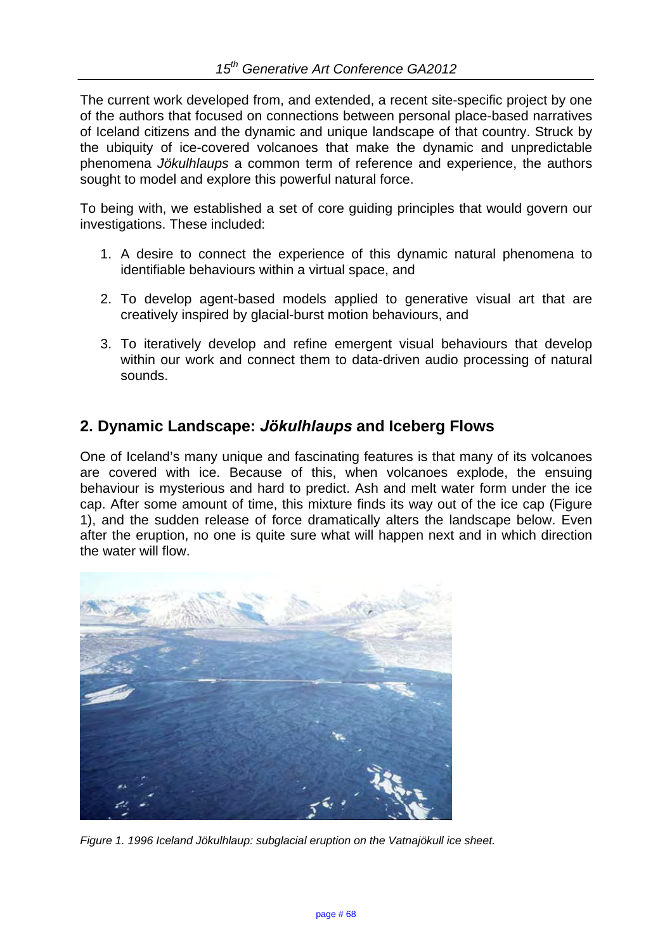The current work developed from, and extended, a recent site-specific project by one of the authors that focused on connections between personal place-based narratives of Iceland citizens and the dynamic and unique landscape of that country. Struck by the ubiquity of ice-covered volcanoes that make the dynamic and unpredictable phenomena *Jökulhlaups* a common term of reference and experience, the authors sought to model and explore this powerful natural force.

To being with, we established a set of core guiding principles that would govern our investigations. These included:

- 1. A desire to connect the experience of this dynamic natural phenomena to identifiable behaviours within a virtual space, and
- 2. To develop agent-based models applied to generative visual art that are creatively inspired by glacial-burst motion behaviours, and
- 3. To iteratively develop and refine emergent visual behaviours that develop within our work and connect them to data-driven audio processing of natural sounds.

# **2. Dynamic Landscape:** *Jökulhlaups* **and Iceberg Flows**

One of Iceland's many unique and fascinating features is that many of its volcanoes are covered with ice. Because of this, when volcanoes explode, the ensuing behaviour is mysterious and hard to predict. Ash and melt water form under the ice cap. After some amount of time, this mixture finds its way out of the ice cap (Figure 1), and the sudden release of force dramatically alters the landscape below. Even after the eruption, no one is quite sure what will happen next and in which direction the water will flow.



*Figure 1. 1996 Iceland Jökulhlaup: subglacial eruption on the Vatnajökull ice sheet.*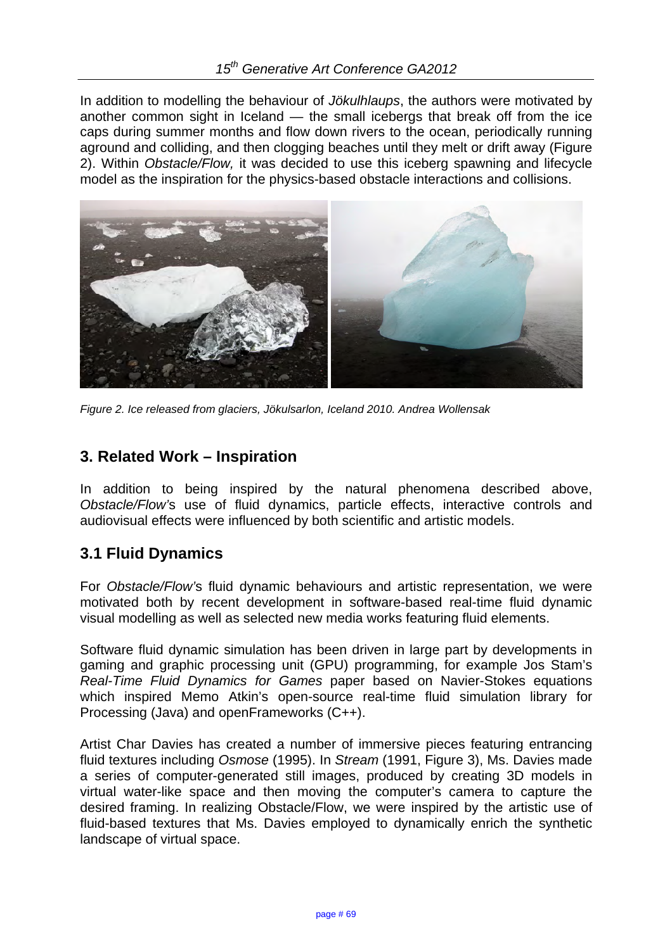In addition to modelling the behaviour of *Jökulhlaups*, the authors were motivated by another common sight in Iceland — the small icebergs that break off from the ice caps during summer months and flow down rivers to the ocean, periodically running aground and colliding, and then clogging beaches until they melt or drift away (Figure 2). Within *Obstacle/Flow,* it was decided to use this iceberg spawning and lifecycle model as the inspiration for the physics-based obstacle interactions and collisions.



*Figure 2. Ice released from glaciers, Jökulsarlon, Iceland 2010. Andrea Wollensak* 

# **3. Related Work – Inspiration**

In addition to being inspired by the natural phenomena described above, *Obstacle/Flow'*s use of fluid dynamics, particle effects, interactive controls and audiovisual effects were influenced by both scientific and artistic models.

# **3.1 Fluid Dynamics**

For *Obstacle/Flow'*s fluid dynamic behaviours and artistic representation, we were motivated both by recent development in software-based real-time fluid dynamic visual modelling as well as selected new media works featuring fluid elements.

Software fluid dynamic simulation has been driven in large part by developments in gaming and graphic processing unit (GPU) programming, for example Jos Stam's *Real-Time Fluid Dynamics for Games* paper based on Navier-Stokes equations which inspired Memo Atkin's open-source real-time fluid simulation library for Processing (Java) and openFrameworks (C++).

Artist Char Davies has created a number of immersive pieces featuring entrancing fluid textures including *Osmose* (1995). In *Stream* (1991, Figure 3), Ms. Davies made a series of computer-generated still images, produced by creating 3D models in virtual water-like space and then moving the computer's camera to capture the desired framing. In realizing Obstacle/Flow, we were inspired by the artistic use of fluid-based textures that Ms. Davies employed to dynamically enrich the synthetic landscape of virtual space.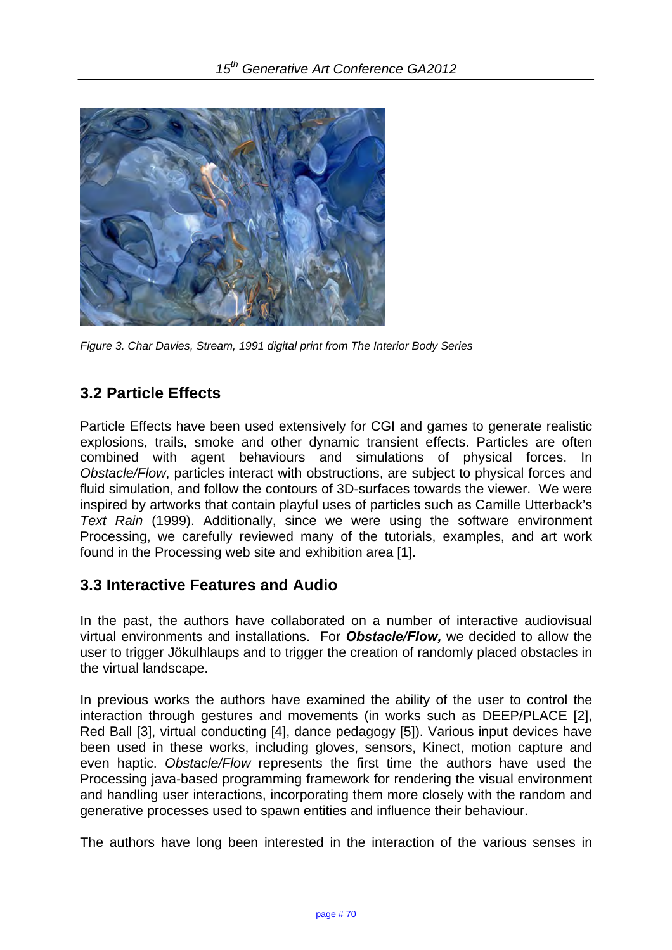

*Figure 3. Char Davies, Stream, 1991 digital print from The Interior Body Series* 

# **3.2 Particle Effects**

Particle Effects have been used extensively for CGI and games to generate realistic explosions, trails, smoke and other dynamic transient effects. Particles are often combined with agent behaviours and simulations of physical forces. In *Obstacle/Flow*, particles interact with obstructions, are subject to physical forces and fluid simulation, and follow the contours of 3D-surfaces towards the viewer. We were inspired by artworks that contain playful uses of particles such as Camille Utterback's *Text Rain* (1999). Additionally, since we were using the software environment Processing, we carefully reviewed many of the tutorials, examples, and art work found in the Processing web site and exhibition area [1].

# **3.3 Interactive Features and Audio**

In the past, the authors have collaborated on a number of interactive audiovisual virtual environments and installations. For *Obstacle/Flow,* we decided to allow the user to trigger Jökulhlaups and to trigger the creation of randomly placed obstacles in the virtual landscape.

In previous works the authors have examined the ability of the user to control the interaction through gestures and movements (in works such as DEEP/PLACE [2], Red Ball [3], virtual conducting [4], dance pedagogy [5]). Various input devices have been used in these works, including gloves, sensors, Kinect, motion capture and even haptic. *Obstacle/Flow* represents the first time the authors have used the Processing java-based programming framework for rendering the visual environment and handling user interactions, incorporating them more closely with the random and generative processes used to spawn entities and influence their behaviour.

The authors have long been interested in the interaction of the various senses in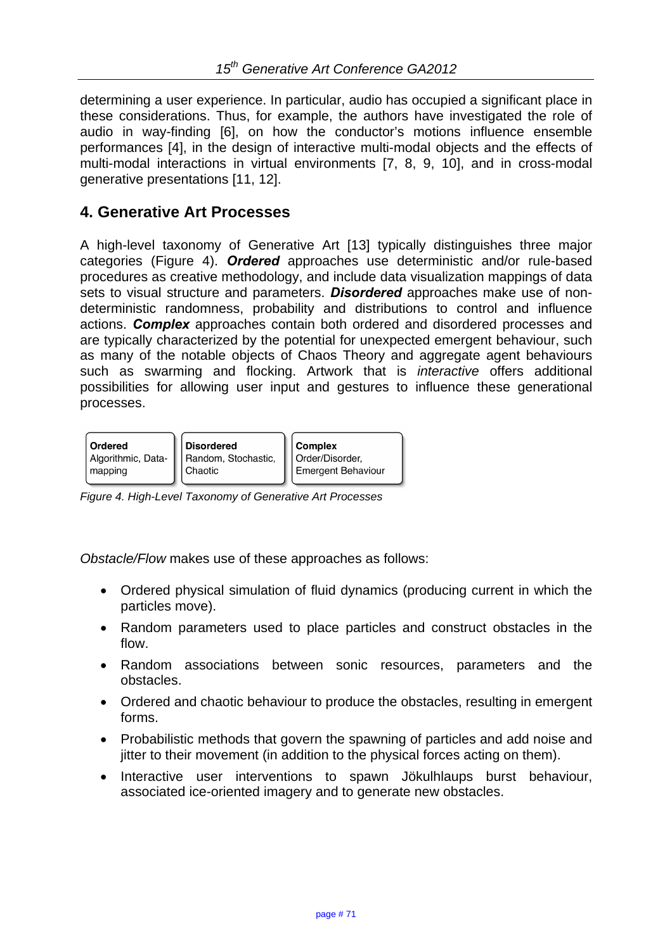determining a user experience. In particular, audio has occupied a significant place in these considerations. Thus, for example, the authors have investigated the role of audio in way-finding [6], on how the conductor's motions influence ensemble performances [4], in the design of interactive multi-modal objects and the effects of multi-modal interactions in virtual environments [7, 8, 9, 10], and in cross-modal generative presentations [11, 12].

## **4. Generative Art Processes**

A high-level taxonomy of Generative Art [13] typically distinguishes three major categories (Figure 4). *Ordered* approaches use deterministic and/or rule-based procedures as creative methodology, and include data visualization mappings of data sets to visual structure and parameters. *Disordered* approaches make use of nondeterministic randomness, probability and distributions to control and influence actions. *Complex* approaches contain both ordered and disordered processes and are typically characterized by the potential for unexpected emergent behaviour, such as many of the notable objects of Chaos Theory and aggregate agent behaviours such as swarming and flocking. Artwork that is *interactive* offers additional possibilities for allowing user input and gestures to influence these generational processes.



*Figure 4. High-Level Taxonomy of Generative Art Processes*

*Obstacle/Flow* makes use of these approaches as follows:

- Ordered physical simulation of fluid dynamics (producing current in which the particles move).
- Random parameters used to place particles and construct obstacles in the flow.
- Random associations between sonic resources, parameters and the obstacles.
- Ordered and chaotic behaviour to produce the obstacles, resulting in emergent forms.
- Probabilistic methods that govern the spawning of particles and add noise and jitter to their movement (in addition to the physical forces acting on them).
- Interactive user interventions to spawn Jökulhlaups burst behaviour, associated ice-oriented imagery and to generate new obstacles.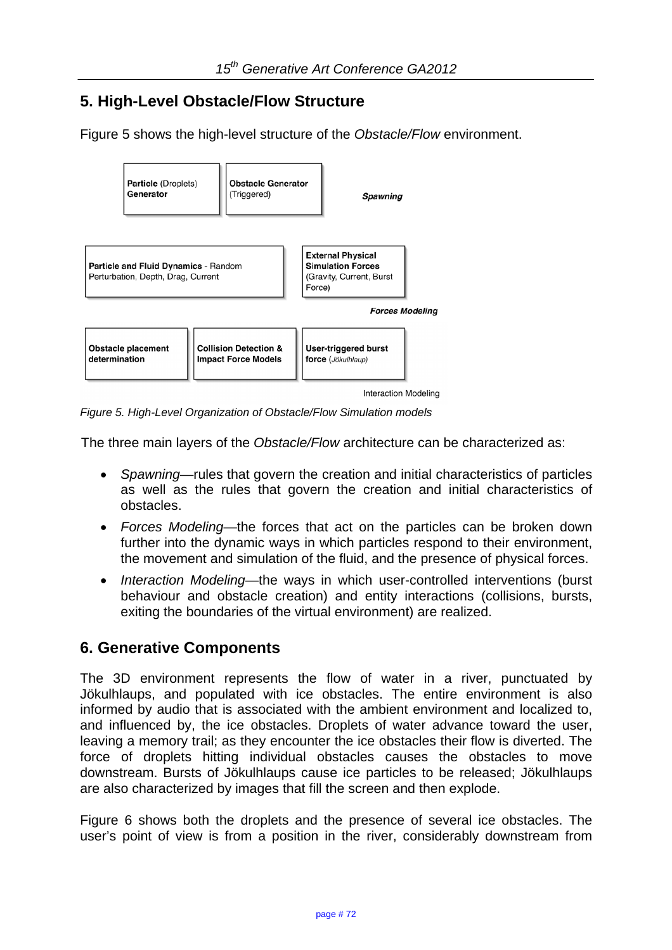# **5. High-Level Obstacle/Flow Structure**

Figure 5 shows the high-level structure of the *Obstacle/Flow* environment.



*Figure 5. High-Level Organization of Obstacle/Flow Simulation models* 

The three main layers of the *Obstacle/Flow* architecture can be characterized as:

- *Spawning*—rules that govern the creation and initial characteristics of particles as well as the rules that govern the creation and initial characteristics of obstacles.
- *Forces Modeling*—the forces that act on the particles can be broken down further into the dynamic ways in which particles respond to their environment, the movement and simulation of the fluid, and the presence of physical forces.
- *Interaction Modeling*—the ways in which user-controlled interventions (burst behaviour and obstacle creation) and entity interactions (collisions, bursts, exiting the boundaries of the virtual environment) are realized.

# **6. Generative Components**

The 3D environment represents the flow of water in a river, punctuated by Jökulhlaups, and populated with ice obstacles. The entire environment is also informed by audio that is associated with the ambient environment and localized to, and influenced by, the ice obstacles. Droplets of water advance toward the user, leaving a memory trail; as they encounter the ice obstacles their flow is diverted. The force of droplets hitting individual obstacles causes the obstacles to move downstream. Bursts of Jökulhlaups cause ice particles to be released; Jökulhlaups are also characterized by images that fill the screen and then explode.

Figure 6 shows both the droplets and the presence of several ice obstacles. The user's point of view is from a position in the river, considerably downstream from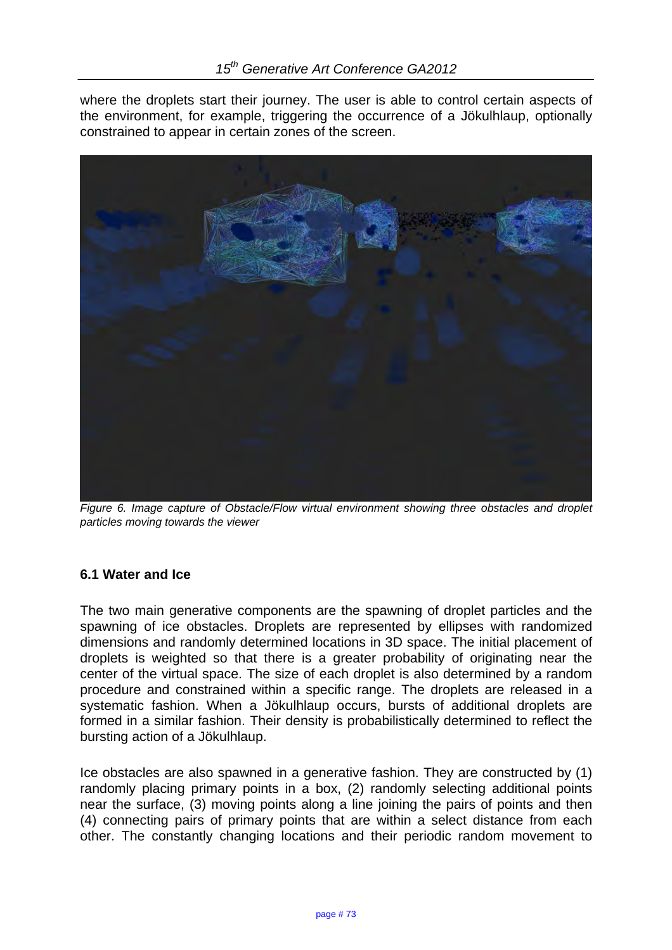where the droplets start their journey. The user is able to control certain aspects of the environment, for example, triggering the occurrence of a Jökulhlaup, optionally constrained to appear in certain zones of the screen.



*Figure 6. Image capture of Obstacle/Flow virtual environment showing three obstacles and droplet particles moving towards the viewer* 

## **6.1 Water and Ice**

The two main generative components are the spawning of droplet particles and the spawning of ice obstacles. Droplets are represented by ellipses with randomized dimensions and randomly determined locations in 3D space. The initial placement of droplets is weighted so that there is a greater probability of originating near the center of the virtual space. The size of each droplet is also determined by a random procedure and constrained within a specific range. The droplets are released in a systematic fashion. When a Jökulhlaup occurs, bursts of additional droplets are formed in a similar fashion. Their density is probabilistically determined to reflect the bursting action of a Jökulhlaup.

Ice obstacles are also spawned in a generative fashion. They are constructed by (1) randomly placing primary points in a box, (2) randomly selecting additional points near the surface, (3) moving points along a line joining the pairs of points and then (4) connecting pairs of primary points that are within a select distance from each other. The constantly changing locations and their periodic random movement to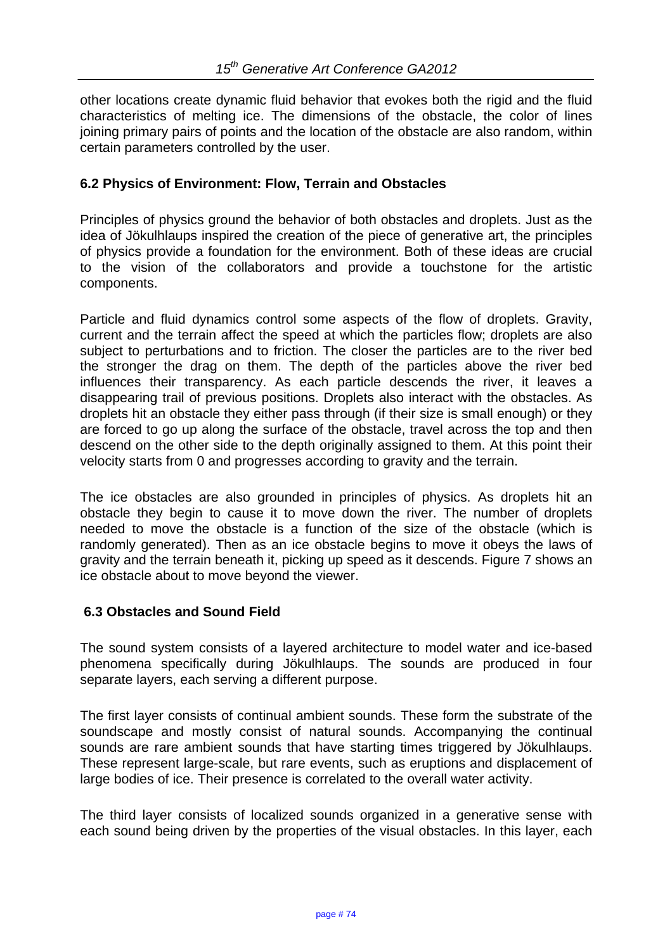other locations create dynamic fluid behavior that evokes both the rigid and the fluid characteristics of melting ice. The dimensions of the obstacle, the color of lines joining primary pairs of points and the location of the obstacle are also random, within certain parameters controlled by the user.

#### **6.2 Physics of Environment: Flow, Terrain and Obstacles**

Principles of physics ground the behavior of both obstacles and droplets. Just as the idea of Jökulhlaups inspired the creation of the piece of generative art, the principles of physics provide a foundation for the environment. Both of these ideas are crucial to the vision of the collaborators and provide a touchstone for the artistic components.

Particle and fluid dynamics control some aspects of the flow of droplets. Gravity, current and the terrain affect the speed at which the particles flow; droplets are also subject to perturbations and to friction. The closer the particles are to the river bed the stronger the drag on them. The depth of the particles above the river bed influences their transparency. As each particle descends the river, it leaves a disappearing trail of previous positions. Droplets also interact with the obstacles. As droplets hit an obstacle they either pass through (if their size is small enough) or they are forced to go up along the surface of the obstacle, travel across the top and then descend on the other side to the depth originally assigned to them. At this point their velocity starts from 0 and progresses according to gravity and the terrain.

The ice obstacles are also grounded in principles of physics. As droplets hit an obstacle they begin to cause it to move down the river. The number of droplets needed to move the obstacle is a function of the size of the obstacle (which is randomly generated). Then as an ice obstacle begins to move it obeys the laws of gravity and the terrain beneath it, picking up speed as it descends. Figure 7 shows an ice obstacle about to move beyond the viewer.

## **6.3 Obstacles and Sound Field**

The sound system consists of a layered architecture to model water and ice-based phenomena specifically during Jökulhlaups. The sounds are produced in four separate layers, each serving a different purpose.

The first layer consists of continual ambient sounds. These form the substrate of the soundscape and mostly consist of natural sounds. Accompanying the continual sounds are rare ambient sounds that have starting times triggered by Jökulhlaups. These represent large-scale, but rare events, such as eruptions and displacement of large bodies of ice. Their presence is correlated to the overall water activity.

The third layer consists of localized sounds organized in a generative sense with each sound being driven by the properties of the visual obstacles. In this layer, each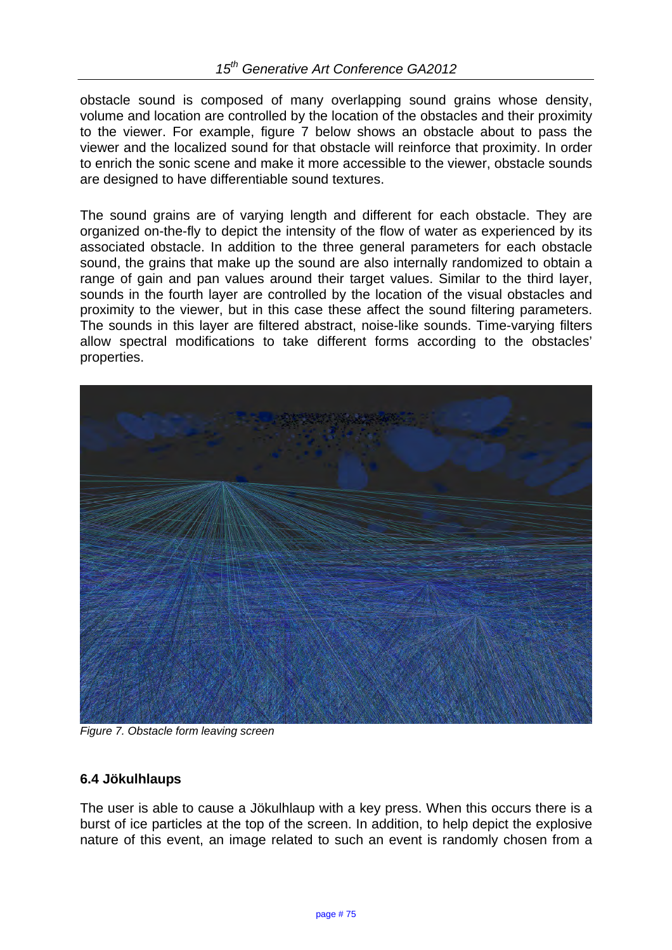obstacle sound is composed of many overlapping sound grains whose density, volume and location are controlled by the location of the obstacles and their proximity to the viewer. For example, figure 7 below shows an obstacle about to pass the viewer and the localized sound for that obstacle will reinforce that proximity. In order to enrich the sonic scene and make it more accessible to the viewer, obstacle sounds are designed to have differentiable sound textures.

The sound grains are of varying length and different for each obstacle. They are organized on-the-fly to depict the intensity of the flow of water as experienced by its associated obstacle. In addition to the three general parameters for each obstacle sound, the grains that make up the sound are also internally randomized to obtain a range of gain and pan values around their target values. Similar to the third layer, sounds in the fourth layer are controlled by the location of the visual obstacles and proximity to the viewer, but in this case these affect the sound filtering parameters. The sounds in this layer are filtered abstract, noise-like sounds. Time-varying filters allow spectral modifications to take different forms according to the obstacles' properties.



*Figure 7. Obstacle form leaving screen*

## **6.4 Jökulhlaups**

The user is able to cause a Jökulhlaup with a key press. When this occurs there is a burst of ice particles at the top of the screen. In addition, to help depict the explosive nature of this event, an image related to such an event is randomly chosen from a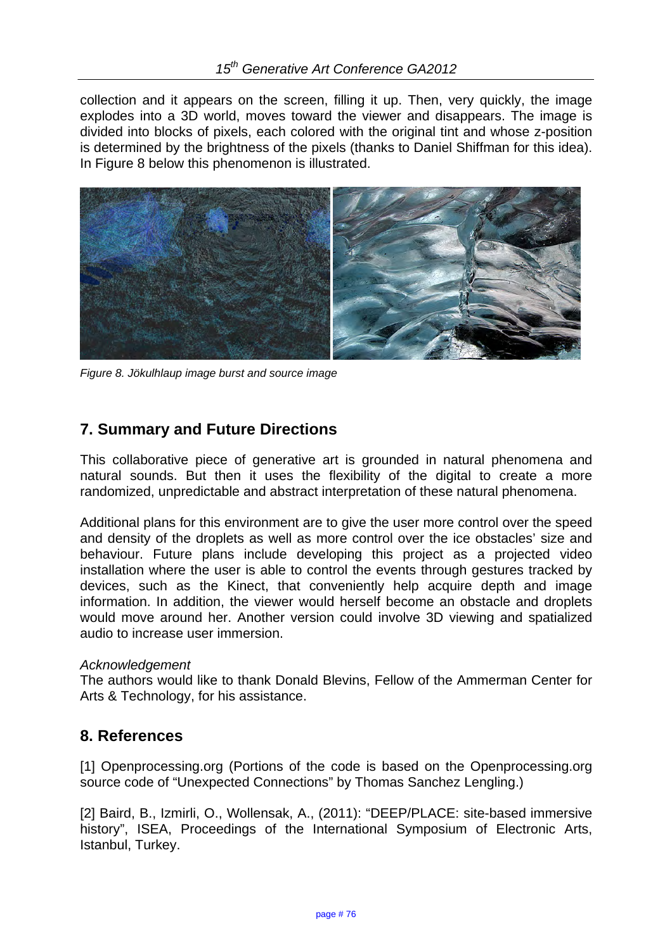collection and it appears on the screen, filling it up. Then, very quickly, the image explodes into a 3D world, moves toward the viewer and disappears. The image is divided into blocks of pixels, each colored with the original tint and whose z-position is determined by the brightness of the pixels (thanks to Daniel Shiffman for this idea). In Figure 8 below this phenomenon is illustrated.



*Figure 8. Jökulhlaup image burst and source image* 

# **7. Summary and Future Directions**

This collaborative piece of generative art is grounded in natural phenomena and natural sounds. But then it uses the flexibility of the digital to create a more randomized, unpredictable and abstract interpretation of these natural phenomena.

Additional plans for this environment are to give the user more control over the speed and density of the droplets as well as more control over the ice obstacles' size and behaviour. Future plans include developing this project as a projected video installation where the user is able to control the events through gestures tracked by devices, such as the Kinect, that conveniently help acquire depth and image information. In addition, the viewer would herself become an obstacle and droplets would move around her. Another version could involve 3D viewing and spatialized audio to increase user immersion.

#### *Acknowledgement*

The authors would like to thank Donald Blevins, Fellow of the Ammerman Center for Arts & Technology, for his assistance.

## **8. References**

[1] Openprocessing.org (Portions of the code is based on the Openprocessing.org source code of "Unexpected Connections" by Thomas Sanchez Lengling.)

[2] Baird, B., Izmirli, O., Wollensak, A., (2011): "DEEP/PLACE: site-based immersive history", ISEA, Proceedings of the International Symposium of Electronic Arts, Istanbul, Turkey.